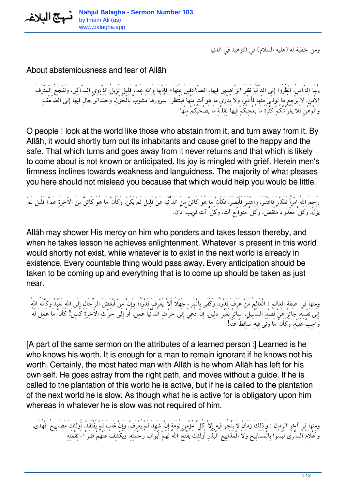

*ومن خطبة له (عليه السلام) في التزهيد في الدنيا*

## About abstemiousness and fear of Allāh

*يُّهَا النَّاس،ُ انْظُرُوا إِلى الدُّنْيَا نَظَرَ الزَّاهِدِينَ فِيهَا، الصَّادِفِينَ عَنْهَا؛ فَإِنَّهَا وَااللهِ عَمَّا قَلِيلٍ تُزِيلُ الثَّاوِيَ السَّاكِن،َ وَتَفْجَعُ الْمُتْرَفَ الاْمِن،َ لاَ يَرْجِعُ مَا تَوَلَّى مَنْهَا فَأَدْبَر،َ وَلاَ يُدْرَى مَا هُوَ آتٍ مِنْهَا فَيُنْتَظَر.َ سُرُورُهَا مَشُوبٌ بِالْحُزْن،ِ وَجَلَدُالرِّجَالِ فَيهَا إِلَى الضَّعْفِ وَالْوَهْنِ فَلا يَغُرَّنَّكُمْ كَثْرَةُ مَا يُعْجِبُكُمْ فِيهَا لِقِلَّةِ مَا يَصْحَبُكُمْ مِنْهَا*

O people ! look at the world like those who abstain from it, and turn away from it. By Allāh, it would shortly turn out its inhabitants and cause grief to the happy and the safe. That which turns and goes away from it never returns and that which is likely to come about is not known or anticipated. Its joy is mingled with grief. Herein men's firmness inclines towards weakness and languidness. The majority of what pleases you here should not mislead you because that which would help you would be little.

*رَحِمَ االلهُ امْرَأً تَفَكَّرَ فَاعْتَبَر،َ واعْتَبَرَ فَأَبْصَر،َ فَكَأَنَّ مَا هُوَ كَائِنٌ مِنَ الدٌّنْيَا عَنْ قَلِيل لَمْ يَكُن،ْ وَكَأَنَّ مَا هُوَ كَائِنٌ مِنَ الاْخِرَةِ عَمَّا قَلَيل لَمْ يَزَل،ْ وَكُلُّ مَعْدُود مُنْقَض، وَكُلُّ مُتَوَقَّع آت، وَكُلُّ آت قَرِيبٌ دَان.*

Allāh may shower His mercy on him who ponders and takes lesson thereby, and when he takes lesson he achieves enlightenment. Whatever is present in this world would shortly not exist, while whatever is to exist in the next world is already in existence. Every countable thing would pass away. Every anticipation should be taken to be coming up and everything that is to come up should be taken as just near.

*ومنها في صفة العالم : الْعَالِمُ مَنْ عَرَفَ قَدْرَه،ُ وَكَفَى بِالْمَرءِ جَهْلاً أَلاَّ يَعْرِفَ قَدْرَهُ; وَإِنَّ مِنْ أَبْغَضَ الرِّجَالِ إِلَى االلهِ لَعَبْدٌ وَكَّلَهُ االلهُ إِلَى نَفْسِه،ِ جَائِرٌ عَنْ قَصْدِ السَّبِيل،ِ سَائِرٌ بَغَيْرِ دَلِيل، إِنْ دُعِيَ إِلَى حَرْثِ الدُّنْيَا عَمِل،َ أوْ إِلَى حَرْثِ الاْخِرَةِ كَسِلَ! كَأَنَّ مَا عَمِلَ لَهُ وَاجِبٌ عَلَيْه،ِ وَكَأَنَّ مَا وَنَى فِيهِ سَاِقطٌ عَنْهُ!*

[A part of the same sermon on the attributes of a learned person :] Learned is he who knows his worth. It is enough for a man to remain ignorant if he knows not his worth. Certainly, the most hated man with Allāh is he whom Allāh has left for his own self. He goes astray from the right path, and moves without a guide. If he is called to the plantation of this world he is active, but if he is called to the plantation of the next world he is slow. As though what he is active for is obligatory upon him whereas in whatever he is slow was not required of him.

*ومنها في آخر الزمان : وَذلِكَ زَمَانٌ لاَ يَنْجُو فِيهِ إِلاَّ كُلُّ مٌؤْمِنٍ نُوَمَةٍ إِنْ شَهِدَ لَمْ يُعْرَف،ْ وَإِنْ غَابَ لَمْ يُفْتَقَد،ْ أُولَئِكَ مَصَابِيحُ الْهُدَى، وَأَعْلاَمُ السُّرَى لَيْسُوا بِالْمَسَايِيحِ وَلاَ الْمَذَايِيعِ الْبُذُرِ أُولَئِكَ يَفْتَحُ االلهُ لَهُمْ أَبْوَابَ رَحْمَتِه،ِ وَيَكْشِفُ عَنْهُمْ ضَرَّاءَ نِقْمَتِهِ*